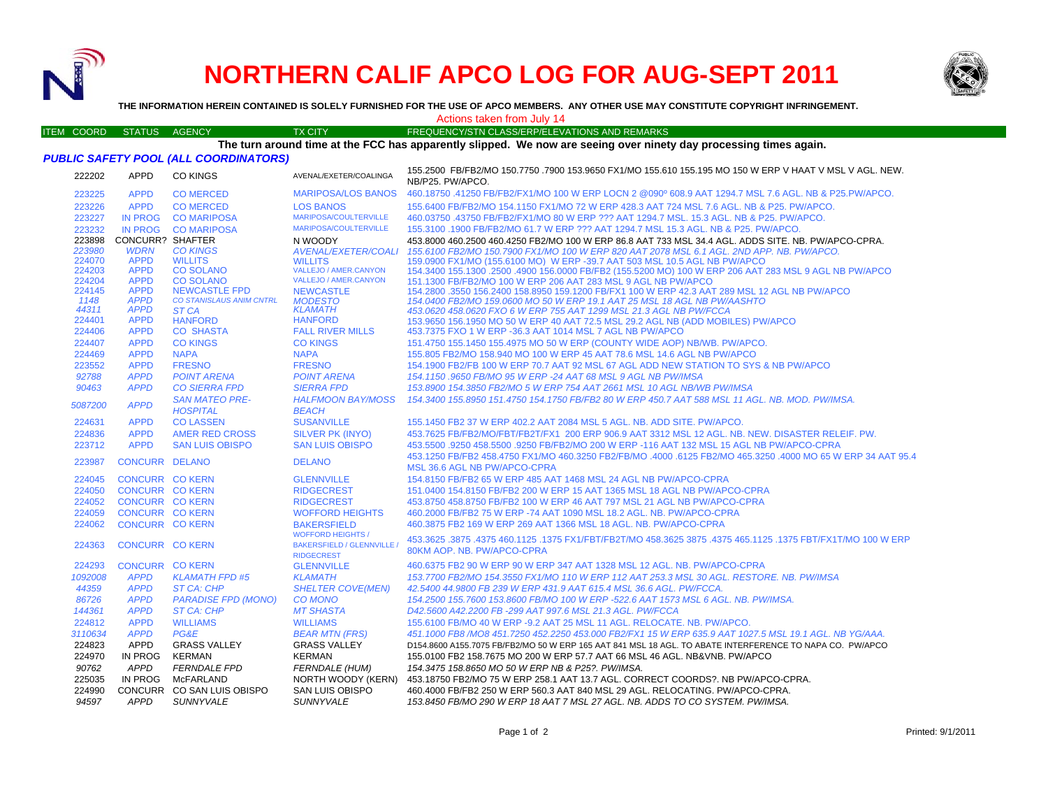

224059

224062

224293

**CONCURR CO KERN** 

**CONCURR CO KERN** 

**CONCURR CO KERN** 

*1092008 APPD KLAMATH FPD #5*

*44359 APPD ST CA: CHP*

224363 CONCURR CO KERN

# **NORTHERN CALIF APCO LOG FOR AUG-SEPT 2011**



**THE INFORMATION HEREIN CONTAINED IS SOLELY FURNISHED FOR THE USE OF APCO MEMBERS. ANY OTHER USE MAY CONSTITUTE COPYRIGHT INFRINGEMENT.**

#### Actions taken from July 14

### **Seeing over ninety day processing times again.**

| <b>ACtions taken from July 14</b> |                                                                                                                   |                         |                                          |                                          |                                                                                                                             |  |  |  |
|-----------------------------------|-------------------------------------------------------------------------------------------------------------------|-------------------------|------------------------------------------|------------------------------------------|-----------------------------------------------------------------------------------------------------------------------------|--|--|--|
|                                   | <b>ITEM COORD</b>                                                                                                 | <b>STATUS</b>           | <b>AGENCY</b>                            | <b>TX CITY</b>                           | FREQUENCY/STN CLASS/ERP/ELEVATIONS AND REMARKS                                                                              |  |  |  |
|                                   | The turn around time at the FCC has apparently slipped. We now are seeing over ninety day processing times again. |                         |                                          |                                          |                                                                                                                             |  |  |  |
|                                   | <b>PUBLIC SAFETY POOL (ALL COORDINATORS)</b>                                                                      |                         |                                          |                                          |                                                                                                                             |  |  |  |
|                                   | 222202                                                                                                            | <b>APPD</b>             | <b>CO KINGS</b>                          | AVENAL/EXETER/COALINGA                   | 155.2500 FB/FB2/MO 150.7750 .7900 153.9650 FX1/MO 155.610 155.195 MO 150 W ERP V HAAT V MSL V AGL. NEW.<br>NB/P25. PW/APCO. |  |  |  |
|                                   | 223225                                                                                                            | <b>APPD</b>             | <b>CO MERCED</b>                         | <b>MARIPOSA/LOS BANOS</b>                | 460.18750 .41250 FB/FB2/FX1/MO 100 W ERP LOCN 2 @090º 608.9 AAT 1294.7 MSL 7.6 AGL, NB & P25.PW/APCO.                       |  |  |  |
|                                   | 223226                                                                                                            | <b>APPD</b>             | <b>CO MERCED</b>                         | <b>LOS BANOS</b>                         | 155,6400 FB/FB2/MO 154,1150 FX1/MO 72 W ERP 428.3 AAT 724 MSL 7.6 AGL, NB & P25, PW/APCO,                                   |  |  |  |
|                                   | 223227                                                                                                            | <b>IN PROG</b>          | <b>CO MARIPOSA</b>                       | MARIPOSA/COULTERVILLE                    | 460.03750 .43750 FB/FB2/FX1/MO 80 W ERP ??? AAT 1294.7 MSL, 15.3 AGL, NB & P25, PW/APCO,                                    |  |  |  |
|                                   | 223232                                                                                                            | IN PROG                 | <b>CO MARIPOSA</b>                       | <b>MARIPOSA/COULTERVILLE</b>             | 155,3100 1900 FB/FB2/MO 61.7 W ERP ??? AAT 1294.7 MSL 15.3 AGL. NB & P25, PW/APCO,                                          |  |  |  |
|                                   | 223898                                                                                                            | <b>CONCURR? SHAFTER</b> |                                          | N WOODY                                  | 453,8000 460,2500 460,4250 FB2/MO 100 W ERP 86.8 AAT 733 MSL 34.4 AGL, ADDS SITE, NB, PW/APCO-CPRA.                         |  |  |  |
|                                   | 223980                                                                                                            | <b>WDRN</b>             | <b>CO KINGS</b>                          | AVENAL/EXETER/COALI                      | 155.6100 FB2/MO 150.7900 FX1/MO 100 W ERP 820 AAT 2078 MSL 6.1 AGL, 2ND APP, NB, PW/APCO,                                   |  |  |  |
|                                   | 224070                                                                                                            | <b>APPD</b>             | <b>WILLITS</b>                           | <b>WILLITS</b>                           | 159,0900 FX1/MO (155,6100 MO) W ERP -39.7 AAT 503 MSL 10.5 AGL NB PW/APCO                                                   |  |  |  |
|                                   | 224203                                                                                                            | <b>APPD</b>             | <b>CO SOLANO</b>                         | VALLEJO / AMER.CANYON                    | 154.3400 155.1300 .2500 .4900 156.0000 FB/FB2 (155.5200 MO) 100 W ERP 206 AAT 283 MSL 9 AGL NB PW/APCO                      |  |  |  |
|                                   | 224204                                                                                                            | <b>APPD</b>             | <b>CO SOLANO</b>                         | VALLEJO / AMER.CANYON                    | 151.1300 FB/FB2/MO 100 W ERP 206 AAT 283 MSL 9 AGL NB PW/APCO                                                               |  |  |  |
|                                   | 224145                                                                                                            | <b>APPD</b>             | <b>NEWCASTLE FPD</b>                     | <b>NEWCASTLE</b>                         | 154,2800 .3550 156,2400 158,8950 159,1200 FB/FX1 100 W ERP 42.3 AAT 289 MSL 12 AGL NB PW/APCO                               |  |  |  |
|                                   | 1148                                                                                                              | <b>APPD</b>             | <b>CO STANISLAUS ANIM CNTRL</b>          | <b>MODESTO</b>                           | 154,0400 FB2/MO 159,0600 MO 50 W ERP 19.1 AAT 25 MSL 18 AGL NB PW/AASHTO                                                    |  |  |  |
|                                   | 44311                                                                                                             | <b>APPD</b>             | ST CA                                    | <b>KLAMATH</b>                           | 453.0620 458.0620 FXO 6 W ERP 755 AAT 1299 MSL 21.3 AGL NB PW/FCCA                                                          |  |  |  |
|                                   | 224401                                                                                                            | <b>APPD</b>             | <b>HANFORD</b>                           | <b>HANFORD</b>                           | 153,9650 156,1950 MO 50 W ERP 40 AAT 72.5 MSL 29.2 AGL NB (ADD MOBILES) PW/APCO                                             |  |  |  |
|                                   | 224406                                                                                                            | <b>APPD</b>             | <b>CO SHASTA</b>                         | <b>FALL RIVER MILLS</b>                  | 453.7375 FXO 1 W ERP -36.3 AAT 1014 MSL 7 AGL NB PW/APCO                                                                    |  |  |  |
|                                   | 224407                                                                                                            | <b>APPD</b>             | <b>CO KINGS</b>                          | <b>CO KINGS</b>                          | 151.4750 155.1450 155.4975 MO 50 W ERP (COUNTY WIDE AOP) NB/WB. PW/APCO.                                                    |  |  |  |
|                                   | 224469                                                                                                            | <b>APPD</b>             | <b>NAPA</b>                              | <b>NAPA</b>                              | 155,805 FB2/MO 158,940 MO 100 W ERP 45 AAT 78.6 MSL 14.6 AGL NB PW/APCO                                                     |  |  |  |
|                                   | 223552                                                                                                            | <b>APPD</b>             | <b>FRESNO</b>                            | <b>FRESNO</b>                            | 154,1900 FB2/FB 100 W ERP 70.7 AAT 92 MSL 67 AGL ADD NEW STATION TO SYS & NB PW/APCO                                        |  |  |  |
|                                   | 92788                                                                                                             | <b>APPD</b>             | <b>POINT ARENA</b>                       | <b>POINT ARENA</b>                       | 154,1150,9650 FB/MO 95 W ERP -24 AAT 68 MSL 9 AGL NB PW/IMSA                                                                |  |  |  |
|                                   | 90463                                                                                                             | <b>APPD</b>             | <b>CO SIERRA FPD</b>                     | <b>SIERRA FPD</b>                        | 153,8900 154,3850 FB2/MO 5 W ERP 754 AAT 2661 MSL 10 AGL NB/WB PW/IMSA                                                      |  |  |  |
|                                   | 5087200                                                                                                           | <b>APPD</b>             | <b>SAN MATEO PRE-</b><br><b>HOSPITAL</b> | <b>HALFMOON BAY/MOSS</b><br><b>BEACH</b> | 154,3400 155,8950 151,4750 154,1750 FB/FB2 80 W ERP 450.7 AAT 588 MSL 11 AGL, NB, MOD, PW/IMSA,                             |  |  |  |
|                                   | 224631                                                                                                            | <b>APPD</b>             | <b>COLASSEN</b>                          | <b>SUSANVILLE</b>                        | 155.1450 FB2 37 W ERP 402.2 AAT 2084 MSL 5 AGL, NB, ADD SITE, PW/APCO.                                                      |  |  |  |
|                                   | 224836                                                                                                            | <b>APPD</b>             | AMER RED CROSS                           | SILVER PK (INYO)                         | 453.7625 FB/FB2/MO/FBT/FB2T/FX1 200 ERP 906.9 AAT 3312 MSL 12 AGL. NB. NEW. DISASTER RELEIF. PW.                            |  |  |  |
|                                   | 223712                                                                                                            | <b>APPD</b>             | <b>SAN LUIS OBISPO</b>                   | <b>SAN LUIS OBISPO</b>                   | 453,5500,9250 458,5500,9250 FB/FB2/MO 200 W ERP -116 AAT 132 MSL 15 AGL NB PW/APCO-CPRA                                     |  |  |  |

# 223987 CONCURR DELANO DELANOWOFFORD HEIGHTS 460.2000 FB/FB2 75 W ERP -74 AAT 1090 MSL 18.2 AGL. NB. PW/APCO-CPRA

WOFFORD HEIGHTS / BAKERSFIELD / GLENNVILLE / RIDGECREST**GLENNVILLE**  *KLAMATH86726 APPD PARADISE FPD (MONO) CO MONO 154.2500 155.7600 153.8600 FB/MO 100 W ERP -522.6 AAT 1573 MSL 6 AGL. NB. PW/IMSA. 144361 APPD ST CA: CHP MT SHASTA D42.5600 A42.2200 FB -299 AAT 997.6 MSL 21.3 AGL. PW/FCCA*

 453.1250 FB/FB2 458.4750 FX1/MO 460.3250 FB2/FB/MO .4000 .6125 FB2/MO 465.3250 .4000 MO 65 W ERP 34 AAT 95.4 MSL 36.6 AGL NB PW/APCO-CPRA224045 CONCURR CO KERN GLENNVILLE 154.8150 FB/FB2 65 W ERP 485 AAT 1468 MSL 24 AGL NB PW/APCO-CPRA224050 CONCURR CO KERN RIDGECREST 151.0400 154.8150 FB/FB2 200 W ERP 15 AAT 1365 MSL 18 AGL NB PW/APCO-CPRA 224052 CONCURR CO KERN RIDGECREST 453.8750 458.8750 FB/FB2 100 W ERP 46 AAT 797 MSL 21 AGL NB PW/APCO-CPRA

> 453.3625 .3875 .4375 460.1125 .1375 FX1/FBT/FB2T/MO 458.3625 3875 .4375 465.1125 .1375 FBT/FX1T/MO 100 W ERP 80KM AOP. NB. PW/APCO-CPRA460.6375 FB2 90 W ERP 90 W ERP 347 AAT 1328 MSL 12 AGL. NB. PW/APCO-CPRA

 *153.7700 FB2/MO 154.3550 FX1/MO 110 W ERP 112 AAT 253.3 MSL 30 AGL. RESTORE. NB. PW/IMSA SHELTER COVE(MEN) 42.5400 44.9800 FB 239 W ERP 431.9 AAT 615.4 MSL 36.6 AGL. PW/FCCA.*

 APPD WILLIAMS WILLIAMS 155.6100 FB/MO 40 W ERP -9.2 AAT 25 MSL 11 AGL. RELOCATE. NB. PW/APCO.  *APPD PG&E BEAR MTN (FRS) 451.1000 FB8 /MO8 451.7250 452.2250 453.000 FB2/FX1 15 W ERP 635.9 AAT 1027.5 MSL 19.1 AGL. NB YG/AAA.*  APPD GRASS VALLEY GRASS VALLEYD154.8600 A155.7075 FB/FB2/MO 50 W ERP 165 AAT 841 MSL 18 AGL. TO ABATE INTERFERENCE TO NAPA CO. PW/APCO

224970 IN PROG KERMAN KERMAN 155.0100 FB2 158.7675 MO 200 W ERP 57.7 AAT 66 MSL 46 AGL. NB&VNB. PW/APCO*90762 APPD FERNDALE FPD FERNDALE (HUM) 154.3475 158.8650 MO 50 W ERP NB & P25?. PW/IMSA.*

225035 IN PROG McFARLAND NORTH WOODY (KERN) 453.18750 FB2/MO 75 W ERP 258.1 AAT 13.7 AGL. CORRECT COORDS?. NB PW/APCO-CPRA. 224990 CONCURR CO SAN LUIS OBISPO SAN LUIS OBISPO 460.4000 FB/FB2 250 W ERP 560.3 AAT 840 MSL 29 AGL. RELOCATING. PW/APCO-CPRA.

*94597 APPD SUNNYVALE SUNNYVALE 153.8450 FB/MO 290 W ERP 18 AAT 7 MSL 27 AGL. NB. ADDS TO CO SYSTEM. PW/IMSA.*

BAKERSFIELD 460.3875 FB2 169 W ERP 269 AAT 1366 MSL 18 AGL. NB. PW/APCO-CPRA